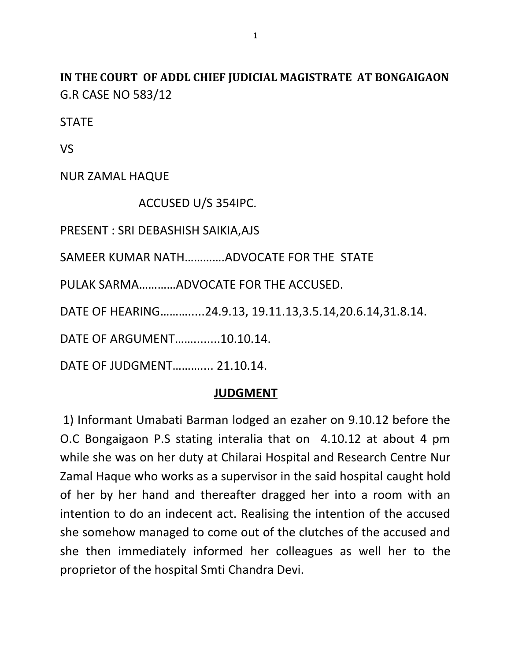**IN THE COURT OF ADDL CHIEF JUDICIAL MAGISTRATE AT BONGAIGAON** G.R CASE NO 583/12

**STATE** 

VS

NUR ZAMAL HAQUE

ACCUSED U/S 354IPC.

PRESENT : SRI DEBASHISH SAIKIA,AJS

SAMEER KUMAR NATH………….ADVOCATE FOR THE STATE

PULAK SARMA…………ADVOCATE FOR THE ACCUSED.

DATE OF HEARING……….....24.9.13, 19.11.13,3.5.14,20.6.14,31.8.14.

DATE OF ARGUMENT……........10.10.14.

DATE OF JUDGMENT……….... 21.10.14.

## **JUDGMENT**

1) Informant Umabati Barman lodged an ezaher on 9.10.12 before the O.C Bongaigaon P.S stating interalia that on 4.10.12 at about 4 pm while she was on her duty at Chilarai Hospital and Research Centre Nur Zamal Haque who works as a supervisor in the said hospital caught hold of her by her hand and thereafter dragged her into a room with an intention to do an indecent act. Realising the intention of the accused she somehow managed to come out of the clutches of the accused and she then immediately informed her colleagues as well her to the proprietor of the hospital Smti Chandra Devi.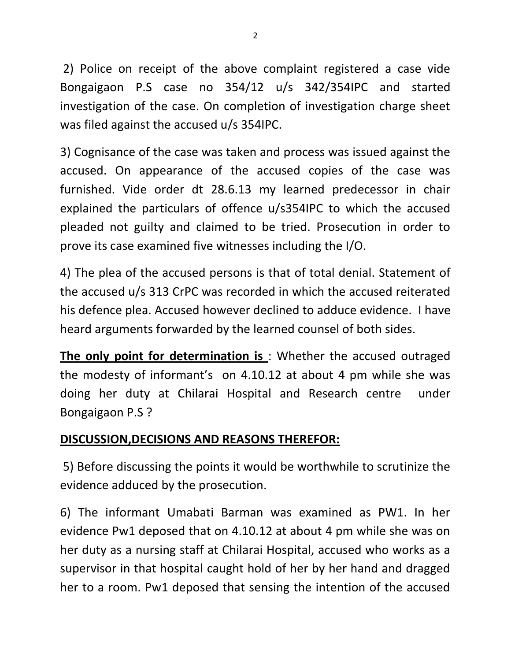2) Police on receipt of the above complaint registered a case vide Bongaigaon P.S case no 354/12 u/s 342/354IPC and started investigation of the case. On completion of investigation charge sheet was filed against the accused u/s 354IPC.

3) Cognisance of the case was taken and process was issued against the accused. On appearance of the accused copies of the case was furnished. Vide order dt 28.6.13 my learned predecessor in chair explained the particulars of offence u/s354IPC to which the accused pleaded not guilty and claimed to be tried. Prosecution in order to prove its case examined five witnesses including the I/O.

4) The plea of the accused persons is that of total denial. Statement of the accused u/s 313 CrPC was recorded in which the accused reiterated his defence plea. Accused however declined to adduce evidence. I have heard arguments forwarded by the learned counsel of both sides.

**The only point for determination is** : Whether the accused outraged the modesty of informant's on 4.10.12 at about 4 pm while she was doing her duty at Chilarai Hospital and Research centre under Bongaigaon P.S ?

## **DISCUSSION,DECISIONS AND REASONS THEREFOR:**

5) Before discussing the points it would be worthwhile to scrutinize the evidence adduced by the prosecution.

6) The informant Umabati Barman was examined as PW1. In her evidence Pw1 deposed that on 4.10.12 at about 4 pm while she was on her duty as a nursing staff at Chilarai Hospital, accused who works as a supervisor in that hospital caught hold of her by her hand and dragged her to a room. Pw1 deposed that sensing the intention of the accused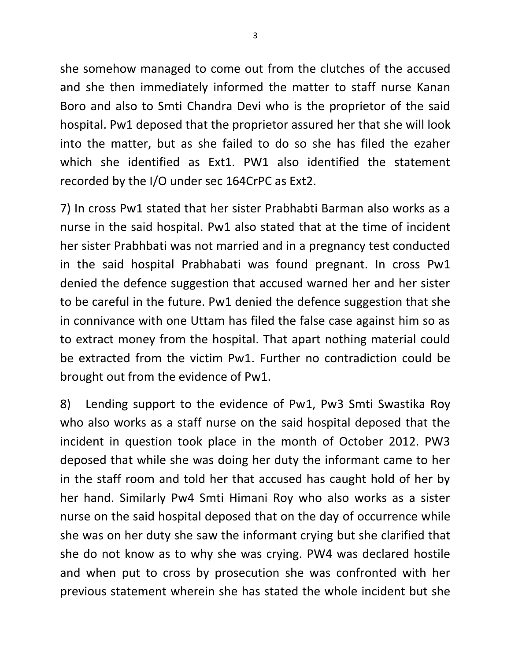she somehow managed to come out from the clutches of the accused and she then immediately informed the matter to staff nurse Kanan Boro and also to Smti Chandra Devi who is the proprietor of the said hospital. Pw1 deposed that the proprietor assured her that she will look into the matter, but as she failed to do so she has filed the ezaher which she identified as Ext1. PW1 also identified the statement recorded by the I/O under sec 164CrPC as Ext2.

7) In cross Pw1 stated that her sister Prabhabti Barman also works as a nurse in the said hospital. Pw1 also stated that at the time of incident her sister Prabhbati was not married and in a pregnancy test conducted in the said hospital Prabhabati was found pregnant. In cross Pw1 denied the defence suggestion that accused warned her and her sister to be careful in the future. Pw1 denied the defence suggestion that she in connivance with one Uttam has filed the false case against him so as to extract money from the hospital. That apart nothing material could be extracted from the victim Pw1. Further no contradiction could be brought out from the evidence of Pw1.

8) Lending support to the evidence of Pw1, Pw3 Smti Swastika Roy who also works as a staff nurse on the said hospital deposed that the incident in question took place in the month of October 2012. PW3 deposed that while she was doing her duty the informant came to her in the staff room and told her that accused has caught hold of her by her hand. Similarly Pw4 Smti Himani Roy who also works as a sister nurse on the said hospital deposed that on the day of occurrence while she was on her duty she saw the informant crying but she clarified that she do not know as to why she was crying. PW4 was declared hostile and when put to cross by prosecution she was confronted with her previous statement wherein she has stated the whole incident but she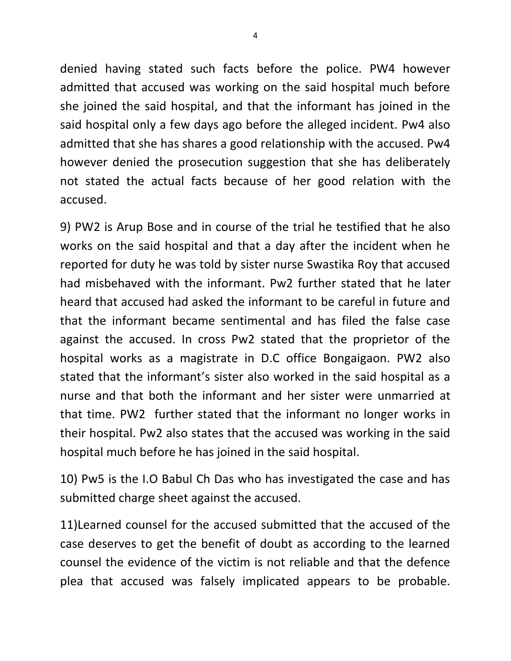denied having stated such facts before the police. PW4 however admitted that accused was working on the said hospital much before she joined the said hospital, and that the informant has joined in the said hospital only a few days ago before the alleged incident. Pw4 also admitted that she has shares a good relationship with the accused. Pw4 however denied the prosecution suggestion that she has deliberately not stated the actual facts because of her good relation with the accused.

9) PW2 is Arup Bose and in course of the trial he testified that he also works on the said hospital and that a day after the incident when he reported for duty he was told by sister nurse Swastika Roy that accused had misbehaved with the informant. Pw2 further stated that he later heard that accused had asked the informant to be careful in future and that the informant became sentimental and has filed the false case against the accused. In cross Pw2 stated that the proprietor of the hospital works as a magistrate in D.C office Bongaigaon. PW2 also stated that the informant's sister also worked in the said hospital as a nurse and that both the informant and her sister were unmarried at that time. PW2 further stated that the informant no longer works in their hospital. Pw2 also states that the accused was working in the said hospital much before he has joined in the said hospital.

10) Pw5 is the I.O Babul Ch Das who has investigated the case and has submitted charge sheet against the accused.

11)Learned counsel for the accused submitted that the accused of the case deserves to get the benefit of doubt as according to the learned counsel the evidence of the victim is not reliable and that the defence plea that accused was falsely implicated appears to be probable.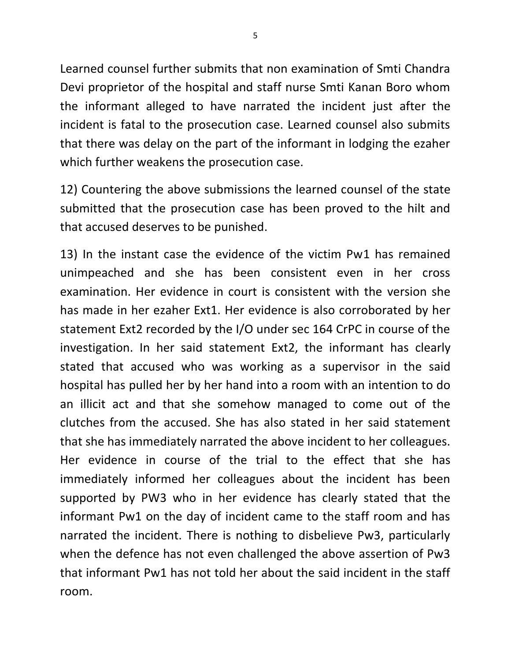Learned counsel further submits that non examination of Smti Chandra Devi proprietor of the hospital and staff nurse Smti Kanan Boro whom the informant alleged to have narrated the incident just after the incident is fatal to the prosecution case. Learned counsel also submits that there was delay on the part of the informant in lodging the ezaher which further weakens the prosecution case.

12) Countering the above submissions the learned counsel of the state submitted that the prosecution case has been proved to the hilt and that accused deserves to be punished.

13) In the instant case the evidence of the victim Pw1 has remained unimpeached and she has been consistent even in her cross examination. Her evidence in court is consistent with the version she has made in her ezaher Ext1. Her evidence is also corroborated by her statement Ext2 recorded by the I/O under sec 164 CrPC in course of the investigation. In her said statement Ext2, the informant has clearly stated that accused who was working as a supervisor in the said hospital has pulled her by her hand into a room with an intention to do an illicit act and that she somehow managed to come out of the clutches from the accused. She has also stated in her said statement that she has immediately narrated the above incident to her colleagues. Her evidence in course of the trial to the effect that she has immediately informed her colleagues about the incident has been supported by PW3 who in her evidence has clearly stated that the informant Pw1 on the day of incident came to the staff room and has narrated the incident. There is nothing to disbelieve Pw3, particularly when the defence has not even challenged the above assertion of Pw3 that informant Pw1 has not told her about the said incident in the staff room.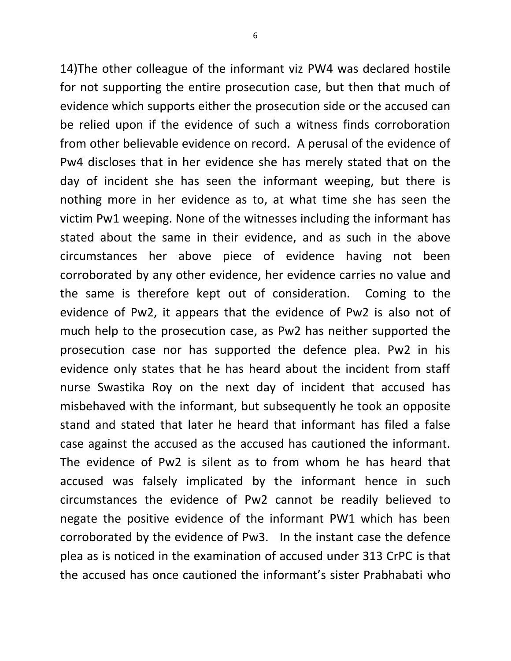14)The other colleague of the informant viz PW4 was declared hostile for not supporting the entire prosecution case, but then that much of evidence which supports either the prosecution side or the accused can be relied upon if the evidence of such a witness finds corroboration from other believable evidence on record. A perusal of the evidence of Pw4 discloses that in her evidence she has merely stated that on the day of incident she has seen the informant weeping, but there is nothing more in her evidence as to, at what time she has seen the victim Pw1 weeping. None of the witnesses including the informant has stated about the same in their evidence, and as such in the above circumstances her above piece of evidence having not been corroborated by any other evidence, her evidence carries no value and the same is therefore kept out of consideration. Coming to the evidence of Pw2, it appears that the evidence of Pw2 is also not of much help to the prosecution case, as Pw2 has neither supported the prosecution case nor has supported the defence plea. Pw2 in his evidence only states that he has heard about the incident from staff nurse Swastika Roy on the next day of incident that accused has misbehaved with the informant, but subsequently he took an opposite stand and stated that later he heard that informant has filed a false case against the accused as the accused has cautioned the informant. The evidence of Pw2 is silent as to from whom he has heard that accused was falsely implicated by the informant hence in such circumstances the evidence of Pw2 cannot be readily believed to negate the positive evidence of the informant PW1 which has been corroborated by the evidence of Pw3. In the instant case the defence plea as is noticed in the examination of accused under 313 CrPC is that the accused has once cautioned the informant's sister Prabhabati who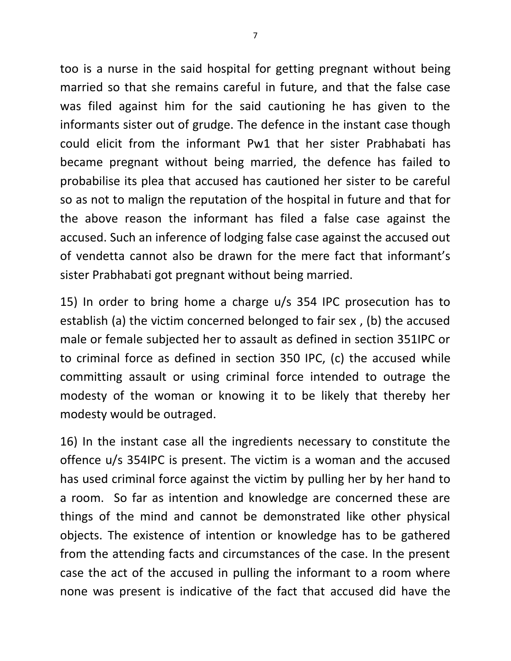too is a nurse in the said hospital for getting pregnant without being married so that she remains careful in future, and that the false case was filed against him for the said cautioning he has given to the informants sister out of grudge. The defence in the instant case though could elicit from the informant Pw1 that her sister Prabhabati has became pregnant without being married, the defence has failed to probabilise its plea that accused has cautioned her sister to be careful so as not to malign the reputation of the hospital in future and that for the above reason the informant has filed a false case against the accused. Such an inference of lodging false case against the accused out of vendetta cannot also be drawn for the mere fact that informant's sister Prabhabati got pregnant without being married.

15) In order to bring home a charge u/s 354 IPC prosecution has to establish (a) the victim concerned belonged to fair sex , (b) the accused male or female subjected her to assault as defined in section 351IPC or to criminal force as defined in section 350 IPC, (c) the accused while committing assault or using criminal force intended to outrage the modesty of the woman or knowing it to be likely that thereby her modesty would be outraged.

16) In the instant case all the ingredients necessary to constitute the offence u/s 354IPC is present. The victim is a woman and the accused has used criminal force against the victim by pulling her by her hand to a room. So far as intention and knowledge are concerned these are things of the mind and cannot be demonstrated like other physical objects. The existence of intention or knowledge has to be gathered from the attending facts and circumstances of the case. In the present case the act of the accused in pulling the informant to a room where none was present is indicative of the fact that accused did have the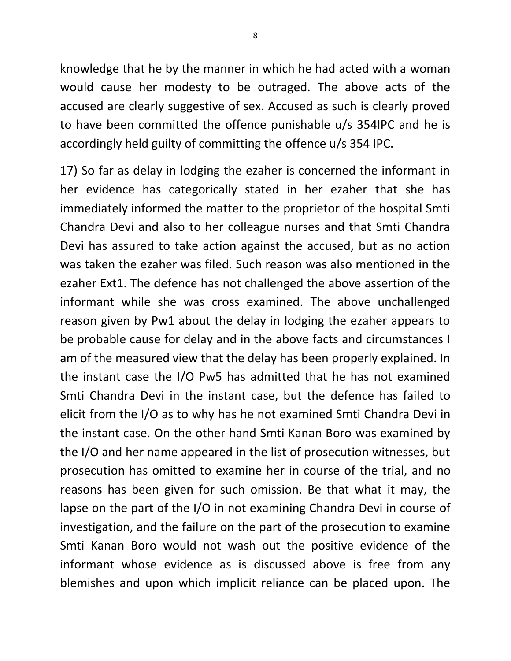knowledge that he by the manner in which he had acted with a woman would cause her modesty to be outraged. The above acts of the accused are clearly suggestive of sex. Accused as such is clearly proved to have been committed the offence punishable u/s 354IPC and he is accordingly held guilty of committing the offence u/s 354 IPC.

17) So far as delay in lodging the ezaher is concerned the informant in her evidence has categorically stated in her ezaher that she has immediately informed the matter to the proprietor of the hospital Smti Chandra Devi and also to her colleague nurses and that Smti Chandra Devi has assured to take action against the accused, but as no action was taken the ezaher was filed. Such reason was also mentioned in the ezaher Ext1. The defence has not challenged the above assertion of the informant while she was cross examined. The above unchallenged reason given by Pw1 about the delay in lodging the ezaher appears to be probable cause for delay and in the above facts and circumstances I am of the measured view that the delay has been properly explained. In the instant case the I/O Pw5 has admitted that he has not examined Smti Chandra Devi in the instant case, but the defence has failed to elicit from the I/O as to why has he not examined Smti Chandra Devi in the instant case. On the other hand Smti Kanan Boro was examined by the I/O and her name appeared in the list of prosecution witnesses, but prosecution has omitted to examine her in course of the trial, and no reasons has been given for such omission. Be that what it may, the lapse on the part of the I/O in not examining Chandra Devi in course of investigation, and the failure on the part of the prosecution to examine Smti Kanan Boro would not wash out the positive evidence of the informant whose evidence as is discussed above is free from any blemishes and upon which implicit reliance can be placed upon. The